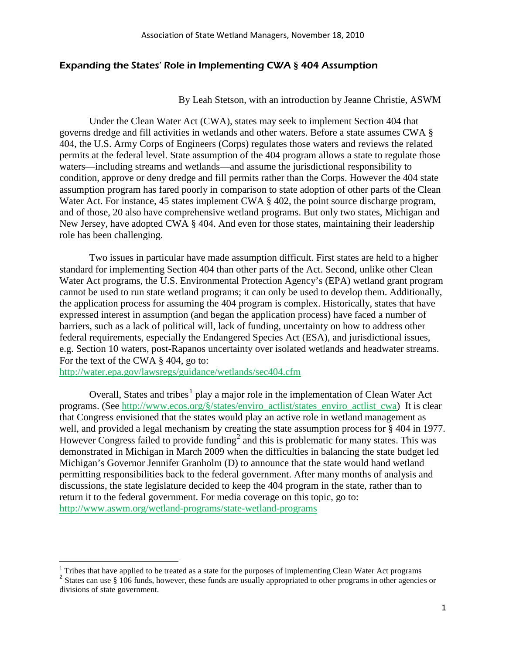### Expanding the States' Role in Implementing CWA **§** 404 Assumption

By Leah Stetson, with an introduction by Jeanne Christie, ASWM

Under the Clean Water Act (CWA), states may seek to implement Section 404 that governs dredge and fill activities in wetlands and other waters. Before a state assumes CWA § 404, the U.S. Army Corps of Engineers (Corps) regulates those waters and reviews the related permits at the federal level. State assumption of the 404 program allows a state to regulate those waters—including streams and wetlands—and assume the jurisdictional responsibility to condition, approve or deny dredge and fill permits rather than the Corps. However the 404 state assumption program has fared poorly in comparison to state adoption of other parts of the Clean Water Act. For instance, 45 states implement CWA § 402, the point source discharge program, and of those, 20 also have comprehensive wetland programs. But only two states, Michigan and New Jersey, have adopted CWA § 404. And even for those states, maintaining their leadership role has been challenging.

Two issues in particular have made assumption difficult. First states are held to a higher standard for implementing Section 404 than other parts of the Act. Second, unlike other Clean Water Act programs, the U.S. Environmental Protection Agency's (EPA) wetland grant program cannot be used to run state wetland programs; it can only be used to develop them. Additionally, the application process for assuming the 404 program is complex. Historically, states that have expressed interest in assumption (and began the application process) have faced a number of barriers, such as a lack of political will, lack of funding, uncertainty on how to address other federal requirements, especially the Endangered Species Act (ESA), and jurisdictional issues, e.g. Section 10 waters, post-Rapanos uncertainty over isolated wetlands and headwater streams. For the text of the CWA § 404, go to:

<http://water.epa.gov/lawsregs/guidance/wetlands/sec404.cfm>

 $\overline{\phantom{0}}$ 

Overall, States and tribes<sup>[1](#page-0-0)</sup> play a major role in the implementation of Clean Water Act programs. (See [http://www.ecos.org/§/states/enviro\\_actlist/states\\_enviro\\_actlist\\_cwa\)](http://www.ecos.org/section/states/enviro_actlist/states_enviro_actlist_cwa) It is clear that Congress envisioned that the states would play an active role in wetland management as well, and provided a legal mechanism by creating the state assumption process for § 404 in 1977. However Congress failed to provide funding<sup>[2](#page-0-1)</sup> and this is problematic for many states. This was demonstrated in Michigan in March 2009 when the difficulties in balancing the state budget led Michigan's Governor Jennifer Granholm (D) to announce that the state would hand wetland permitting responsibilities back to the federal government. After many months of analysis and discussions, the state legislature decided to keep the 404 program in the state, rather than to return it to the federal government. For media coverage on this topic, go to: <http://www.aswm.org/wetland-programs/state-wetland-programs>

<span id="page-0-0"></span> $1$  Tribes that have applied to be treated as a state for the purposes of implementing Clean Water Act programs

<span id="page-0-1"></span><sup>&</sup>lt;sup>2</sup> States can use § 106 funds, however, these funds are usually appropriated to other programs in other agencies or divisions of state government.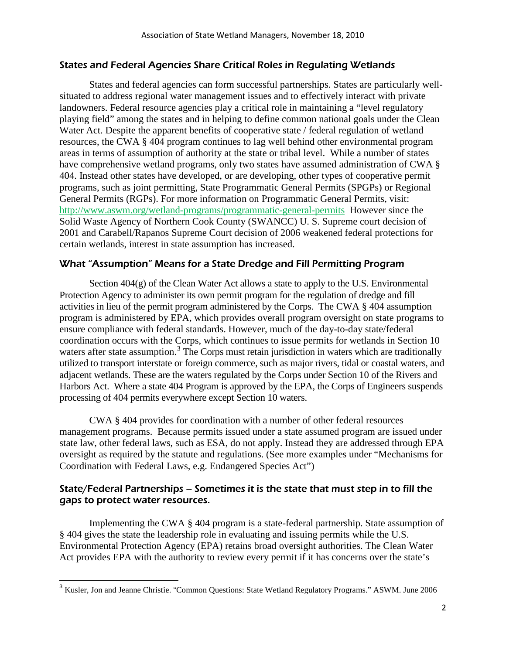### States and Federal Agencies Share Critical Roles in Regulating Wetlands

States and federal agencies can form successful partnerships. States are particularly wellsituated to address regional water management issues and to effectively interact with private landowners. Federal resource agencies play a critical role in maintaining a "level regulatory playing field" among the states and in helping to define common national goals under the Clean Water Act. Despite the apparent benefits of cooperative state / federal regulation of wetland resources, the CWA § 404 program continues to lag well behind other environmental program areas in terms of assumption of authority at the state or tribal level. While a number of states have comprehensive wetland programs, only two states have assumed administration of CWA  $\S$ 404. Instead other states have developed, or are developing, other types of cooperative permit programs, such as joint permitting, State Programmatic General Permits (SPGPs) or Regional General Permits (RGPs). For more information on Programmatic General Permits, visit: <http://www.aswm.org/wetland-programs/programmatic-general-permits> However since the Solid Waste Agency of Northern Cook County (SWANCC) U. S. Supreme court decision of 2001 and Carabell/Rapanos Supreme Court decision of 2006 weakened federal protections for certain wetlands, interest in state assumption has increased.

#### What "Assumption" Means for a State Dredge and Fill Permitting Program

Section 404(g) of the Clean Water Act allows a state to apply to the U.S. Environmental Protection Agency to administer its own permit program for the regulation of dredge and fill activities in lieu of the permit program administered by the Corps. The CWA § 404 assumption program is administered by EPA, which provides overall program oversight on state programs to ensure compliance with federal standards. However, much of the day-to-day state/federal coordination occurs with the Corps, which continues to issue permits for wetlands in Section 10 waters after state assumption.<sup>[3](#page-1-0)</sup> The Corps must retain jurisdiction in waters which are traditionally utilized to transport interstate or foreign commerce, such as major rivers, tidal or coastal waters, and adjacent wetlands. These are the waters regulated by the Corps under Section 10 of the Rivers and Harbors Act. Where a state 404 Program is approved by the EPA, the Corps of Engineers suspends processing of 404 permits everywhere except Section 10 waters.

CWA § 404 provides for coordination with a number of other federal resources management programs. Because permits issued under a state assumed program are issued under state law, other federal laws, such as ESA, do not apply. Instead they are addressed through EPA oversight as required by the statute and regulations. (See more examples under "Mechanisms for Coordination with Federal Laws, e.g. Endangered Species Act")

### State/Federal Partnerships – Sometimes it is the state that must step in to fill the gaps to protect water resources.

Implementing the CWA § 404 program is a state-federal partnership. State assumption of § 404 gives the state the leadership role in evaluating and issuing permits while the U.S. Environmental Protection Agency (EPA) retains broad oversight authorities. The Clean Water Act provides EPA with the authority to review every permit if it has concerns over the state's

l

<span id="page-1-0"></span><sup>&</sup>lt;sup>3</sup> Kusler, Jon and Jeanne Christie. "Common Questions: State Wetland Regulatory Programs." ASWM. June 2006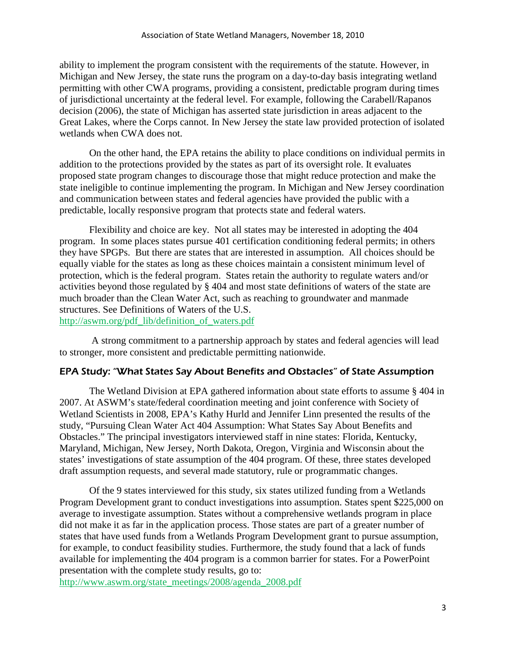ability to implement the program consistent with the requirements of the statute. However, in Michigan and New Jersey, the state runs the program on a day-to-day basis integrating wetland permitting with other CWA programs, providing a consistent, predictable program during times of jurisdictional uncertainty at the federal level. For example, following the Carabell/Rapanos decision (2006), the state of Michigan has asserted state jurisdiction in areas adjacent to the Great Lakes, where the Corps cannot. In New Jersey the state law provided protection of isolated wetlands when CWA does not.

On the other hand, the EPA retains the ability to place conditions on individual permits in addition to the protections provided by the states as part of its oversight role. It evaluates proposed state program changes to discourage those that might reduce protection and make the state ineligible to continue implementing the program. In Michigan and New Jersey coordination and communication between states and federal agencies have provided the public with a predictable, locally responsive program that protects state and federal waters.

Flexibility and choice are key. Not all states may be interested in adopting the 404 program. In some places states pursue 401 certification conditioning federal permits; in others they have SPGPs. But there are states that are interested in assumption. All choices should be equally viable for the states as long as these choices maintain a consistent minimum level of protection, which is the federal program. States retain the authority to regulate waters and/or activities beyond those regulated by § 404 and most state definitions of waters of the state are much broader than the Clean Water Act, such as reaching to groundwater and manmade structures. See Definitions of Waters of the U.S.

[http://aswm.org/pdf\\_lib/definition\\_of\\_waters.pdf](http://aswm.org/pdf_lib/definition_of_waters.pdf)

A strong commitment to a partnership approach by states and federal agencies will lead to stronger, more consistent and predictable permitting nationwide.

#### EPA Study: "What States Say About Benefits and Obstacles" of State Assumption

The Wetland Division at EPA gathered information about state efforts to assume § 404 in 2007. At ASWM's state/federal coordination meeting and joint conference with Society of Wetland Scientists in 2008, EPA's Kathy Hurld and Jennifer Linn presented the results of the study, "Pursuing Clean Water Act 404 Assumption: What States Say About Benefits and Obstacles." The principal investigators interviewed staff in nine states: Florida, Kentucky, Maryland, Michigan, New Jersey, North Dakota, Oregon, Virginia and Wisconsin about the states' investigations of state assumption of the 404 program. Of these, three states developed draft assumption requests, and several made statutory, rule or programmatic changes.

Of the 9 states interviewed for this study, six states utilized funding from a Wetlands Program Development grant to conduct investigations into assumption. States spent \$225,000 on average to investigate assumption. States without a comprehensive wetlands program in place did not make it as far in the application process. Those states are part of a greater number of states that have used funds from a Wetlands Program Development grant to pursue assumption, for example, to conduct feasibility studies. Furthermore, the study found that a lack of funds available for implementing the 404 program is a common barrier for states. For a PowerPoint presentation with the complete study results, go to:

[http://www.aswm.org/state\\_meetings/2008/agenda\\_2008.pdf](http://www.aswm.org/state_meetings/2008/agenda_2008.pdf)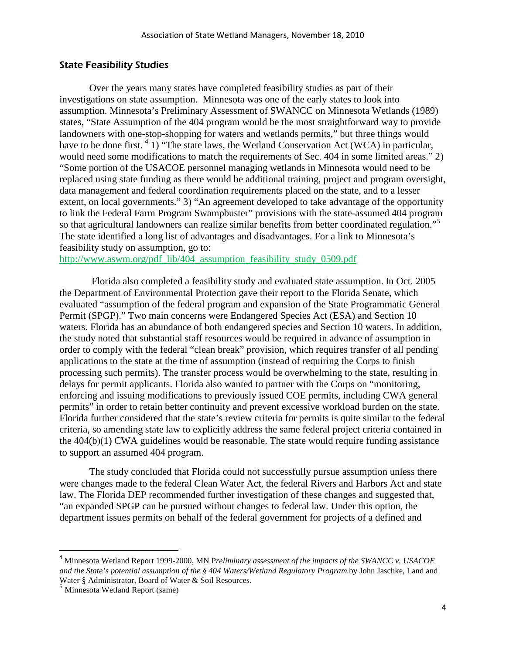#### State Feasibility Studies

Over the years many states have completed feasibility studies as part of their investigations on state assumption. Minnesota was one of the early states to look into assumption. Minnesota's Preliminary Assessment of SWANCC on Minnesota Wetlands (1989) states, "State Assumption of the 404 program would be the most straightforward way to provide landowners with one-stop-shopping for waters and wetlands permits," but three things would have to be done first. <sup>[4](#page-3-0)</sup> 1) "The state laws, the Wetland Conservation Act (WCA) in particular, would need some modifications to match the requirements of Sec. 404 in some limited areas." 2) "Some portion of the USACOE personnel managing wetlands in Minnesota would need to be replaced using state funding as there would be additional training, project and program oversight, data management and federal coordination requirements placed on the state, and to a lesser extent, on local governments." 3) "An agreement developed to take advantage of the opportunity to link the Federal Farm Program Swampbuster" provisions with the state-assumed 404 program so that agricultural landowners can realize similar benefits from better coordinated regulation."<sup>[5](#page-3-1)</sup> The state identified a long list of advantages and disadvantages. For a link to Minnesota's feasibility study on assumption, go to:

[http://www.aswm.org/pdf\\_lib/404\\_assumption\\_feasibility\\_study\\_0509.pdf](http://www.aswm.org/pdf_lib/404_assumption_feasibility_study_0509.pdf)

 Florida also completed a feasibility study and evaluated state assumption. In Oct. 2005 the Department of Environmental Protection gave their report to the Florida Senate, which evaluated "assumption of the federal program and expansion of the State Programmatic General Permit (SPGP)." Two main concerns were Endangered Species Act (ESA) and Section 10 waters. Florida has an abundance of both endangered species and Section 10 waters. In addition, the study noted that substantial staff resources would be required in advance of assumption in order to comply with the federal "clean break" provision, which requires transfer of all pending applications to the state at the time of assumption (instead of requiring the Corps to finish processing such permits). The transfer process would be overwhelming to the state, resulting in delays for permit applicants. Florida also wanted to partner with the Corps on "monitoring, enforcing and issuing modifications to previously issued COE permits, including CWA general permits" in order to retain better continuity and prevent excessive workload burden on the state. Florida further considered that the state's review criteria for permits is quite similar to the federal criteria, so amending state law to explicitly address the same federal project criteria contained in the 404(b)(1) CWA guidelines would be reasonable. The state would require funding assistance to support an assumed 404 program.

The study concluded that Florida could not successfully pursue assumption unless there were changes made to the federal Clean Water Act, the federal Rivers and Harbors Act and state law. The Florida DEP recommended further investigation of these changes and suggested that, "an expanded SPGP can be pursued without changes to federal law. Under this option, the department issues permits on behalf of the federal government for projects of a defined and

<span id="page-3-0"></span> <sup>4</sup> Minnesota Wetland Report 1999-2000, MN P*reliminary assessment of the impacts of the SWANCC v. USACOE and the State's potential assumption of the § 404 Waters/Wetland Regulatory Program.*by John Jaschke, Land and Water § Administrator, Board of Water & Soil Resources.

<span id="page-3-1"></span><sup>5</sup> Minnesota Wetland Report (same)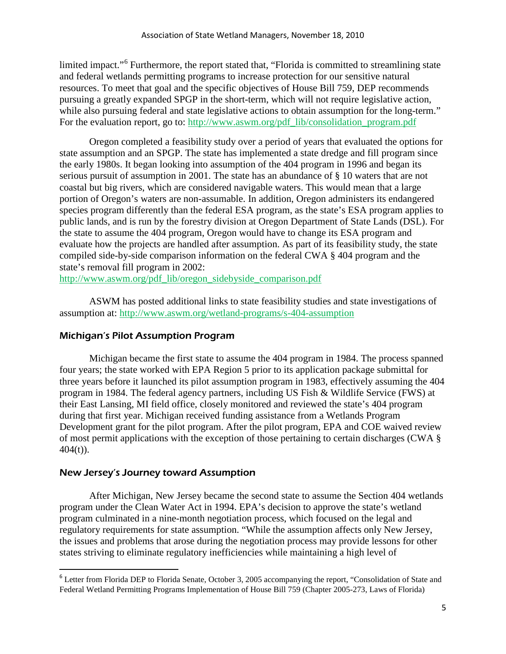limited impact."<sup>[6](#page-4-0)</sup> Furthermore, the report stated that, "Florida is committed to streamlining state and federal wetlands permitting programs to increase protection for our sensitive natural resources. To meet that goal and the specific objectives of House Bill 759, DEP recommends pursuing a greatly expanded SPGP in the short-term, which will not require legislative action, while also pursuing federal and state legislative actions to obtain assumption for the long-term." For the evaluation report, go to: [http://www.aswm.org/pdf\\_lib/consolidation\\_program.pdf](http://www.aswm.org/pdf_lib/consolidation_program.pdf)

Oregon completed a feasibility study over a period of years that evaluated the options for state assumption and an SPGP. The state has implemented a state dredge and fill program since the early 1980s. It began looking into assumption of the 404 program in 1996 and began its serious pursuit of assumption in 2001. The state has an abundance of § 10 waters that are not coastal but big rivers, which are considered navigable waters. This would mean that a large portion of Oregon's waters are non-assumable. In addition, Oregon administers its endangered species program differently than the federal ESA program, as the state's ESA program applies to public lands, and is run by the forestry division at Oregon Department of State Lands (DSL). For the state to assume the 404 program, Oregon would have to change its ESA program and evaluate how the projects are handled after assumption. As part of its feasibility study, the state compiled side-by-side comparison information on the federal CWA § 404 program and the state's removal fill program in 2002:

[http://www.aswm.org/pdf\\_lib/oregon\\_sidebyside\\_comparison.pdf](http://www.aswm.org/pdf_lib/oregon_sidebyside_comparison.pdf)

ASWM has posted additional links to state feasibility studies and state investigations of assumption at: <http://www.aswm.org/wetland-programs/s-404-assumption>

# Michigan's Pilot Assumption Program

Michigan became the first state to assume the 404 program in 1984. The process spanned four years; the state worked with EPA Region 5 prior to its application package submittal for three years before it launched its pilot assumption program in 1983, effectively assuming the 404 program in 1984. The federal agency partners, including US Fish & Wildlife Service (FWS) at their East Lansing, MI field office, closely monitored and reviewed the state's 404 program during that first year. Michigan received funding assistance from a Wetlands Program Development grant for the pilot program. After the pilot program, EPA and COE waived review of most permit applications with the exception of those pertaining to certain discharges (CWA §  $404(t)$ ).

# New Jersey's Journey toward Assumption

After Michigan, New Jersey became the second state to assume the Section 404 wetlands program under the Clean Water Act in 1994. EPA's decision to approve the state's wetland program culminated in a nine-month negotiation process, which focused on the legal and regulatory requirements for state assumption. "While the assumption affects only New Jersey, the issues and problems that arose during the negotiation process may provide lessons for other states striving to eliminate regulatory inefficiencies while maintaining a high level of

<span id="page-4-0"></span><sup>&</sup>lt;sup>6</sup> Letter from Florida DEP to Florida Senate, October 3, 2005 accompanying the report, "Consolidation of State and Federal Wetland Permitting Programs Implementation of House Bill 759 (Chapter 2005-273, Laws of Florida)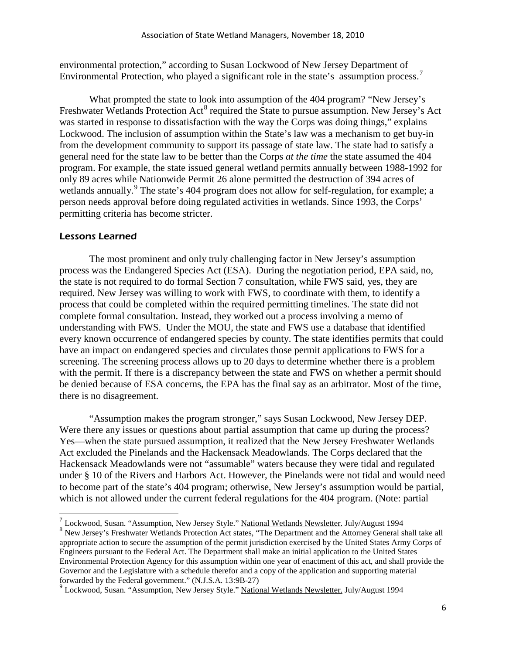environmental protection," according to Susan Lockwood of New Jersey Department of Environmental Protection, who played a significant role in the state's assumption process.<sup>[7](#page-5-0)</sup>

What prompted the state to look into assumption of the 404 program? "New Jersey's Freshwater Wetlands Protection Act<sup>[8](#page-5-1)</sup> required the State to pursue assumption. New Jersey's Act was started in response to dissatisfaction with the way the Corps was doing things," explains Lockwood. The inclusion of assumption within the State's law was a mechanism to get buy-in from the development community to support its passage of state law. The state had to satisfy a general need for the state law to be better than the Corps *at the time* the state assumed the 404 program. For example, the state issued general wetland permits annually between 1988-1992 for only 89 acres while Nationwide Permit 26 alone permitted the destruction of 394 acres of wetlands annually.<sup>[9](#page-5-2)</sup> The state's 404 program does not allow for self-regulation, for example; a person needs approval before doing regulated activities in wetlands. Since 1993, the Corps' permitting criteria has become stricter.

#### Lessons Learned

l

The most prominent and only truly challenging factor in New Jersey's assumption process was the Endangered Species Act (ESA). During the negotiation period, EPA said, no, the state is not required to do formal Section 7 consultation, while FWS said, yes, they are required. New Jersey was willing to work with FWS, to coordinate with them, to identify a process that could be completed within the required permitting timelines. The state did not complete formal consultation. Instead, they worked out a process involving a memo of understanding with FWS. Under the MOU, the state and FWS use a database that identified every known occurrence of endangered species by county. The state identifies permits that could have an impact on endangered species and circulates those permit applications to FWS for a screening. The screening process allows up to 20 days to determine whether there is a problem with the permit. If there is a discrepancy between the state and FWS on whether a permit should be denied because of ESA concerns, the EPA has the final say as an arbitrator. Most of the time, there is no disagreement.

"Assumption makes the program stronger," says Susan Lockwood, New Jersey DEP. Were there any issues or questions about partial assumption that came up during the process? Yes—when the state pursued assumption, it realized that the New Jersey Freshwater Wetlands Act excluded the Pinelands and the Hackensack Meadowlands. The Corps declared that the Hackensack Meadowlands were not "assumable" waters because they were tidal and regulated under § 10 of the Rivers and Harbors Act. However, the Pinelands were not tidal and would need to become part of the state's 404 program; otherwise, New Jersey's assumption would be partial, which is not allowed under the current federal regulations for the 404 program. (Note: partial

<span id="page-5-1"></span><span id="page-5-0"></span><sup>&</sup>lt;sup>7</sup> Lockwood, Susan. "Assumption, New Jersey Style." National Wetlands Newsletter. July/August 1994 8 New Jersey's Freshwater Wetlands Protection Act states, "The Department and the Attorney General shall take all appropriate action to secure the assumption of the permit jurisdiction exercised by the United States Army Corps of Engineers pursuant to the Federal Act. The Department shall make an initial application to the United States Environmental Protection Agency for this assumption within one year of enactment of this act, and shall provide the Governor and the Legislature with a schedule therefor and a copy of the application and supporting material forwarded by the Federal government." (N.J.S.A. 13:9B-27)

<span id="page-5-2"></span><sup>&</sup>lt;sup>9</sup> Lockwood, Susan. "Assumption, New Jersey Style." National Wetlands Newsletter. July/August 1994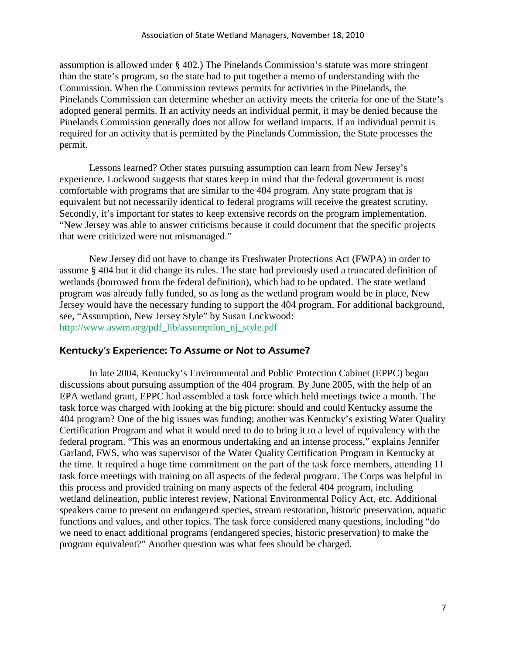assumption is allowed under § 402.) The Pinelands Commission's statute was more stringent than the state's program, so the state had to put together a memo of understanding with the Commission. When the Commission reviews permits for activities in the Pinelands, the Pinelands Commission can determine whether an activity meets the criteria for one of the State's adopted general permits. If an activity needs an individual permit, it may be denied because the Pinelands Commission generally does not allow for wetland impacts. If an individual permit is required for an activity that is permitted by the Pinelands Commission, the State processes the permit.

Lessons learned? Other states pursuing assumption can learn from New Jersey's experience. Lockwood suggests that states keep in mind that the federal government is most comfortable with programs that are similar to the 404 program. Any state program that is equivalent but not necessarily identical to federal programs will receive the greatest scrutiny. Secondly, it's important for states to keep extensive records on the program implementation. "New Jersey was able to answer criticisms because it could document that the specific projects that were criticized were not mismanaged."

New Jersey did not have to change its Freshwater Protections Act (FWPA) in order to assume § 404 but it did change its rules. The state had previously used a truncated definition of wetlands (borrowed from the federal definition), which had to be updated. The state wetland program was already fully funded, so as long as the wetland program would be in place, New Jersey would have the necessary funding to support the 404 program. For additional background, see, "Assumption, New Jersey Style" by Susan Lockwood: [http://www.aswm.org/pdf\\_lib/assumption\\_nj\\_style.pdf](http://www.aswm.org/pdf_lib/assumption_nj_style.pdf)

#### Kentucky's Experience: To Assume or Not to Assume?

In late 2004, Kentucky's Environmental and Public Protection Cabinet (EPPC) began discussions about pursuing assumption of the 404 program. By June 2005, with the help of an EPA wetland grant, EPPC had assembled a task force which held meetings twice a month. The task force was charged with looking at the big picture: should and could Kentucky assume the 404 program? One of the big issues was funding; another was Kentucky's existing Water Quality Certification Program and what it would need to do to bring it to a level of equivalency with the federal program. "This was an enormous undertaking and an intense process," explains Jennifer Garland, FWS, who was supervisor of the Water Quality Certification Program in Kentucky at the time. It required a huge time commitment on the part of the task force members, attending 11 task force meetings with training on all aspects of the federal program. The Corps was helpful in this process and provided training on many aspects of the federal 404 program, including wetland delineation, public interest review, National Environmental Policy Act, etc. Additional speakers came to present on endangered species, stream restoration, historic preservation, aquatic functions and values, and other topics. The task force considered many questions, including "do we need to enact additional programs (endangered species, historic preservation) to make the program equivalent?" Another question was what fees should be charged.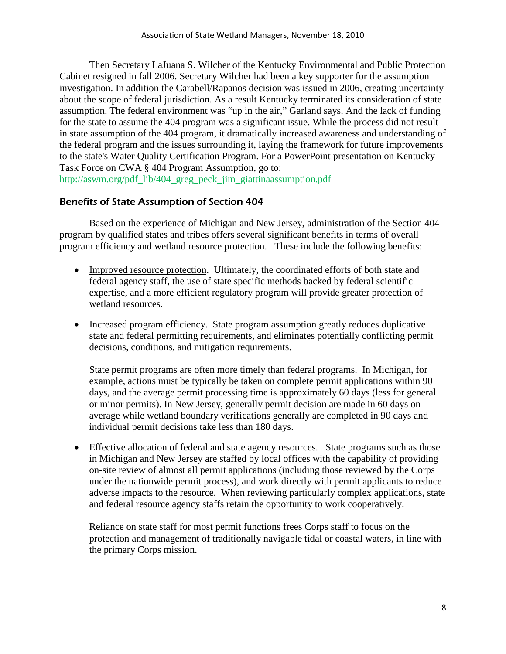Then Secretary LaJuana S. Wilcher of the Kentucky Environmental and Public Protection Cabinet resigned in fall 2006. Secretary Wilcher had been a key supporter for the assumption investigation. In addition the Carabell/Rapanos decision was issued in 2006, creating uncertainty about the scope of federal jurisdiction. As a result Kentucky terminated its consideration of state assumption. The federal environment was "up in the air," Garland says. And the lack of funding for the state to assume the 404 program was a significant issue. While the process did not result in state assumption of the 404 program, it dramatically increased awareness and understanding of the federal program and the issues surrounding it, laying the framework for future improvements to the state's Water Quality Certification Program. For a PowerPoint presentation on Kentucky Task Force on CWA § 404 Program Assumption, go to: [http://aswm.org/pdf\\_lib/404\\_greg\\_peck\\_jim\\_giattinaassumption.pdf](http://aswm.org/pdf_lib/404_greg_peck_jim_giattinaassumption.pdf)

# Benefits of State Assumption of Section 404

Based on the experience of Michigan and New Jersey, administration of the Section 404 program by qualified states and tribes offers several significant benefits in terms of overall program efficiency and wetland resource protection. These include the following benefits:

- Improved resource protection. Ultimately, the coordinated efforts of both state and federal agency staff, the use of state specific methods backed by federal scientific expertise, and a more efficient regulatory program will provide greater protection of wetland resources.
- Increased program efficiency. State program assumption greatly reduces duplicative state and federal permitting requirements, and eliminates potentially conflicting permit decisions, conditions, and mitigation requirements.

State permit programs are often more timely than federal programs. In Michigan, for example, actions must be typically be taken on complete permit applications within 90 days, and the average permit processing time is approximately 60 days (less for general or minor permits). In New Jersey, generally permit decision are made in 60 days on average while wetland boundary verifications generally are completed in 90 days and individual permit decisions take less than 180 days.

• Effective allocation of federal and state agency resources. State programs such as those in Michigan and New Jersey are staffed by local offices with the capability of providing on-site review of almost all permit applications (including those reviewed by the Corps under the nationwide permit process), and work directly with permit applicants to reduce adverse impacts to the resource. When reviewing particularly complex applications, state and federal resource agency staffs retain the opportunity to work cooperatively.

Reliance on state staff for most permit functions frees Corps staff to focus on the protection and management of traditionally navigable tidal or coastal waters, in line with the primary Corps mission.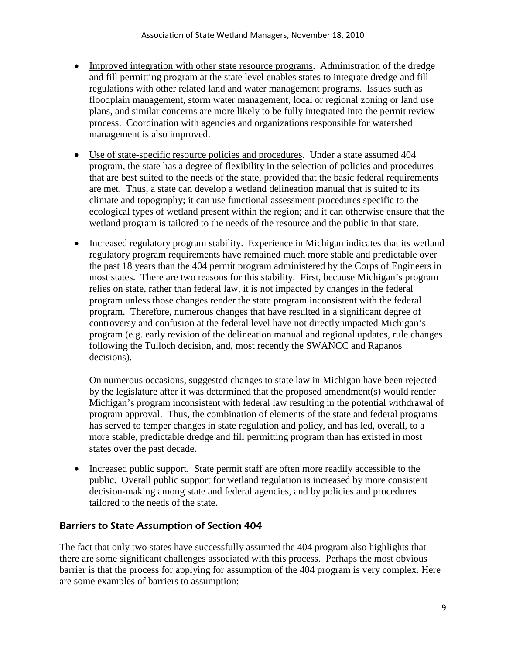- Improved integration with other state resource programs. Administration of the dredge and fill permitting program at the state level enables states to integrate dredge and fill regulations with other related land and water management programs. Issues such as floodplain management, storm water management, local or regional zoning or land use plans, and similar concerns are more likely to be fully integrated into the permit review process. Coordination with agencies and organizations responsible for watershed management is also improved.
- Use of state-specific resource policies and procedures. Under a state assumed 404 program, the state has a degree of flexibility in the selection of policies and procedures that are best suited to the needs of the state, provided that the basic federal requirements are met. Thus, a state can develop a wetland delineation manual that is suited to its climate and topography; it can use functional assessment procedures specific to the ecological types of wetland present within the region; and it can otherwise ensure that the wetland program is tailored to the needs of the resource and the public in that state.
- Increased regulatory program stability. Experience in Michigan indicates that its wetland regulatory program requirements have remained much more stable and predictable over the past 18 years than the 404 permit program administered by the Corps of Engineers in most states. There are two reasons for this stability. First, because Michigan's program relies on state, rather than federal law, it is not impacted by changes in the federal program unless those changes render the state program inconsistent with the federal program. Therefore, numerous changes that have resulted in a significant degree of controversy and confusion at the federal level have not directly impacted Michigan's program (e.g. early revision of the delineation manual and regional updates, rule changes following the Tulloch decision, and, most recently the SWANCC and Rapanos decisions).

On numerous occasions, suggested changes to state law in Michigan have been rejected by the legislature after it was determined that the proposed amendment(s) would render Michigan's program inconsistent with federal law resulting in the potential withdrawal of program approval. Thus, the combination of elements of the state and federal programs has served to temper changes in state regulation and policy, and has led, overall, to a more stable, predictable dredge and fill permitting program than has existed in most states over the past decade.

• Increased public support. State permit staff are often more readily accessible to the public. Overall public support for wetland regulation is increased by more consistent decision-making among state and federal agencies, and by policies and procedures tailored to the needs of the state.

# Barriers to State Assumption of Section 404

The fact that only two states have successfully assumed the 404 program also highlights that there are some significant challenges associated with this process. Perhaps the most obvious barrier is that the process for applying for assumption of the 404 program is very complex. Here are some examples of barriers to assumption: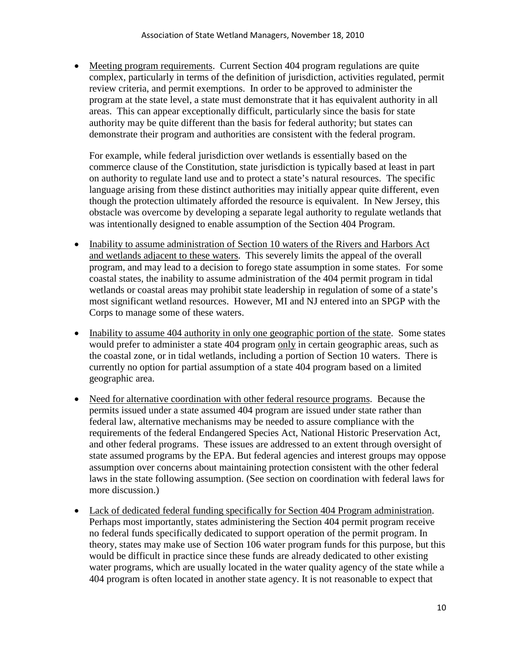• Meeting program requirements. Current Section 404 program regulations are quite complex, particularly in terms of the definition of jurisdiction, activities regulated, permit review criteria, and permit exemptions. In order to be approved to administer the program at the state level, a state must demonstrate that it has equivalent authority in all areas. This can appear exceptionally difficult, particularly since the basis for state authority may be quite different than the basis for federal authority; but states can demonstrate their program and authorities are consistent with the federal program.

For example, while federal jurisdiction over wetlands is essentially based on the commerce clause of the Constitution, state jurisdiction is typically based at least in part on authority to regulate land use and to protect a state's natural resources. The specific language arising from these distinct authorities may initially appear quite different, even though the protection ultimately afforded the resource is equivalent. In New Jersey, this obstacle was overcome by developing a separate legal authority to regulate wetlands that was intentionally designed to enable assumption of the Section 404 Program.

- Inability to assume administration of Section 10 waters of the Rivers and Harbors Act and wetlands adjacent to these waters. This severely limits the appeal of the overall program, and may lead to a decision to forego state assumption in some states. For some coastal states, the inability to assume administration of the 404 permit program in tidal wetlands or coastal areas may prohibit state leadership in regulation of some of a state's most significant wetland resources. However, MI and NJ entered into an SPGP with the Corps to manage some of these waters.
- Inability to assume 404 authority in only one geographic portion of the state. Some states would prefer to administer a state 404 program only in certain geographic areas, such as the coastal zone, or in tidal wetlands, including a portion of Section 10 waters. There is currently no option for partial assumption of a state 404 program based on a limited geographic area.
- Need for alternative coordination with other federal resource programs. Because the permits issued under a state assumed 404 program are issued under state rather than federal law, alternative mechanisms may be needed to assure compliance with the requirements of the federal Endangered Species Act, National Historic Preservation Act, and other federal programs. These issues are addressed to an extent through oversight of state assumed programs by the EPA. But federal agencies and interest groups may oppose assumption over concerns about maintaining protection consistent with the other federal laws in the state following assumption. (See section on coordination with federal laws for more discussion.)
- Lack of dedicated federal funding specifically for Section 404 Program administration. Perhaps most importantly, states administering the Section 404 permit program receive no federal funds specifically dedicated to support operation of the permit program. In theory, states may make use of Section 106 water program funds for this purpose, but this would be difficult in practice since these funds are already dedicated to other existing water programs, which are usually located in the water quality agency of the state while a 404 program is often located in another state agency. It is not reasonable to expect that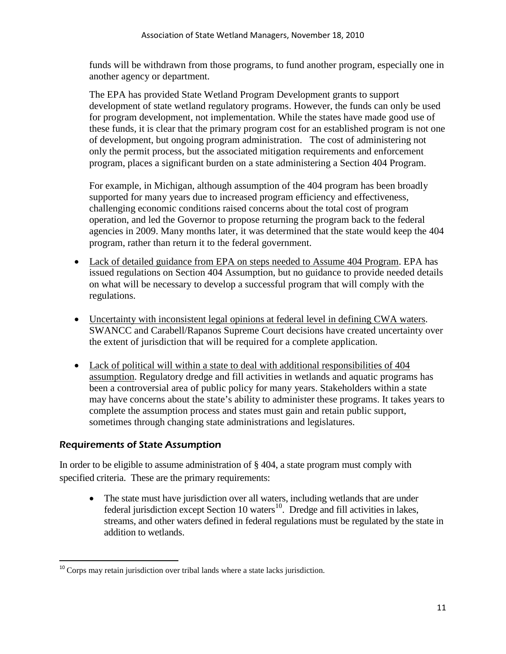funds will be withdrawn from those programs, to fund another program, especially one in another agency or department.

The EPA has provided State Wetland Program Development grants to support development of state wetland regulatory programs. However, the funds can only be used for program development, not implementation. While the states have made good use of these funds, it is clear that the primary program cost for an established program is not one of development, but ongoing program administration. The cost of administering not only the permit process, but the associated mitigation requirements and enforcement program, places a significant burden on a state administering a Section 404 Program.

For example, in Michigan, although assumption of the 404 program has been broadly supported for many years due to increased program efficiency and effectiveness, challenging economic conditions raised concerns about the total cost of program operation, and led the Governor to propose returning the program back to the federal agencies in 2009. Many months later, it was determined that the state would keep the 404 program, rather than return it to the federal government.

- Lack of detailed guidance from EPA on steps needed to Assume 404 Program. EPA has issued regulations on Section 404 Assumption, but no guidance to provide needed details on what will be necessary to develop a successful program that will comply with the regulations.
- Uncertainty with inconsistent legal opinions at federal level in defining CWA waters. SWANCC and Carabell/Rapanos Supreme Court decisions have created uncertainty over the extent of jurisdiction that will be required for a complete application.
- Lack of political will within a state to deal with additional responsibilities of 404 assumption. Regulatory dredge and fill activities in wetlands and aquatic programs has been a controversial area of public policy for many years. Stakeholders within a state may have concerns about the state's ability to administer these programs. It takes years to complete the assumption process and states must gain and retain public support, sometimes through changing state administrations and legislatures.

# Requirements of State Assumption

In order to be eligible to assume administration of § 404, a state program must comply with specified criteria. These are the primary requirements:

• The state must have jurisdiction over all waters, including wetlands that are under federal jurisdiction except Section 10 waters $^{10}$ . Dredge and fill activities in lakes, streams, and other waters defined in federal regulations must be regulated by the state in addition to wetlands.

<span id="page-10-0"></span><sup>&</sup>lt;sup>10</sup> Corps may retain jurisdiction over tribal lands where a state lacks jurisdiction.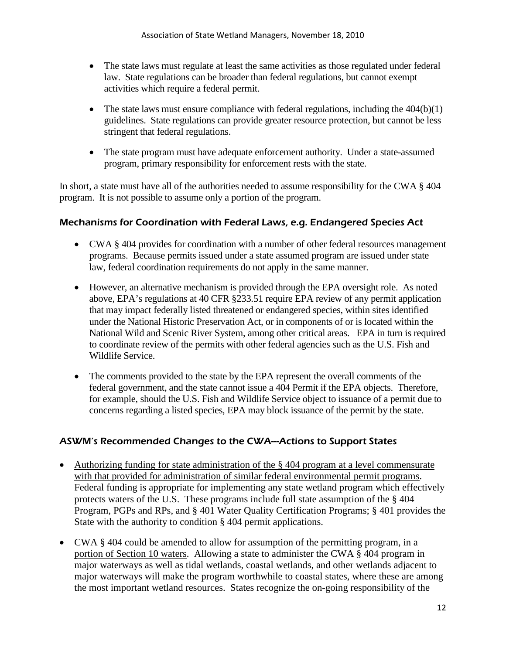- The state laws must regulate at least the same activities as those regulated under federal law. State regulations can be broader than federal regulations, but cannot exempt activities which require a federal permit.
- The state laws must ensure compliance with federal regulations, including the  $404(b)(1)$ guidelines. State regulations can provide greater resource protection, but cannot be less stringent that federal regulations.
- The state program must have adequate enforcement authority. Under a state-assumed program, primary responsibility for enforcement rests with the state.

In short, a state must have all of the authorities needed to assume responsibility for the CWA § 404 program. It is not possible to assume only a portion of the program.

# Mechanisms for Coordination with Federal Laws, e.g. Endangered Species Act

- CWA § 404 provides for coordination with a number of other federal resources management programs. Because permits issued under a state assumed program are issued under state law, federal coordination requirements do not apply in the same manner.
- However, an alternative mechanism is provided through the EPA oversight role. As noted above, EPA's regulations at 40 CFR §233.51 require EPA review of any permit application that may impact federally listed threatened or endangered species, within sites identified under the National Historic Preservation Act, or in components of or is located within the National Wild and Scenic River System, among other critical areas. EPA in turn is required to coordinate review of the permits with other federal agencies such as the U.S. Fish and Wildlife Service.
- The comments provided to the state by the EPA represent the overall comments of the federal government, and the state cannot issue a 404 Permit if the EPA objects. Therefore, for example, should the U.S. Fish and Wildlife Service object to issuance of a permit due to concerns regarding a listed species, EPA may block issuance of the permit by the state.

# ASWM's Recommended Changes to the CWA---Actions to Support States

- Authorizing funding for state administration of the § 404 program at a level commensurate with that provided for administration of similar federal environmental permit programs. Federal funding is appropriate for implementing any state wetland program which effectively protects waters of the U.S. These programs include full state assumption of the § 404 Program, PGPs and RPs, and § 401 Water Quality Certification Programs; § 401 provides the State with the authority to condition § 404 permit applications.
- CWA § 404 could be amended to allow for assumption of the permitting program, in a portion of Section 10 waters. Allowing a state to administer the CWA § 404 program in major waterways as well as tidal wetlands, coastal wetlands, and other wetlands adjacent to major waterways will make the program worthwhile to coastal states, where these are among the most important wetland resources. States recognize the on-going responsibility of the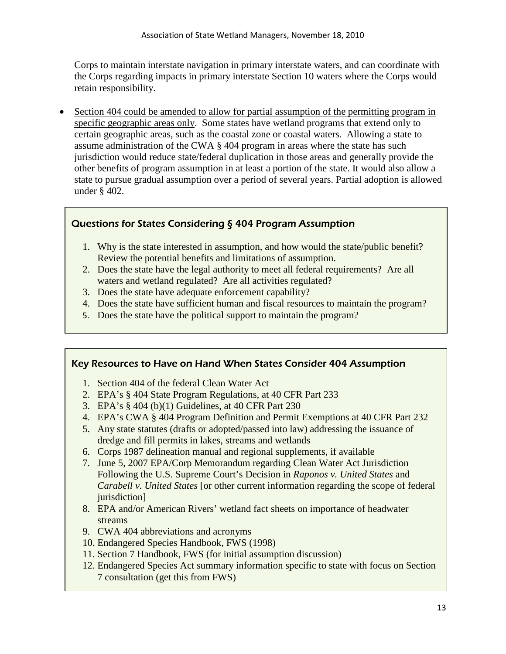Corps to maintain interstate navigation in primary interstate waters, and can coordinate with the Corps regarding impacts in primary interstate Section 10 waters where the Corps would retain responsibility.

• Section 404 could be amended to allow for partial assumption of the permitting program in specific geographic areas only. Some states have wetland programs that extend only to certain geographic areas, such as the coastal zone or coastal waters. Allowing a state to assume administration of the CWA § 404 program in areas where the state has such jurisdiction would reduce state/federal duplication in those areas and generally provide the other benefits of program assumption in at least a portion of the state. It would also allow a state to pursue gradual assumption over a period of several years. Partial adoption is allowed under § 402.

# Questions for States Considering § 404 Program Assumption

- 1. Why is the state interested in assumption, and how would the state/public benefit? Review the potential benefits and limitations of assumption.
- 2. Does the state have the legal authority to meet all federal requirements? Are all waters and wetland regulated? Are all activities regulated?
- 3. Does the state have adequate enforcement capability?
- 4. Does the state have sufficient human and fiscal resources to maintain the program?
- 5. Does the state have the political support to maintain the program?

#### Key Resources to Have on Hand When States Consider 404 Assumption

- 1. Section 404 of the federal Clean Water Act
- 2. EPA's § 404 State Program Regulations, at 40 CFR Part 233
- 3. EPA's § 404 (b)(1) Guidelines, at 40 CFR Part 230
- 4. EPA's CWA § 404 Program Definition and Permit Exemptions at 40 CFR Part 232
- 5. Any state statutes (drafts or adopted/passed into law) addressing the issuance of dredge and fill permits in lakes, streams and wetlands
- 6. Corps 1987 delineation manual and regional supplements, if available
- 7. June 5, 2007 EPA/Corp Memorandum regarding Clean Water Act Jurisdiction Following the U.S. Supreme Court's Decision in *Raponos v. United States* and *Carabell v. United States* [or other current information regarding the scope of federal jurisdiction]
- 8. EPA and/or American Rivers' wetland fact sheets on importance of headwater streams
- 9. CWA 404 abbreviations and acronyms
- 10. Endangered Species Handbook, FWS (1998)
- 11. Section 7 Handbook, FWS (for initial assumption discussion)
- 12. Endangered Species Act summary information specific to state with focus on Section 7 consultation (get this from FWS)